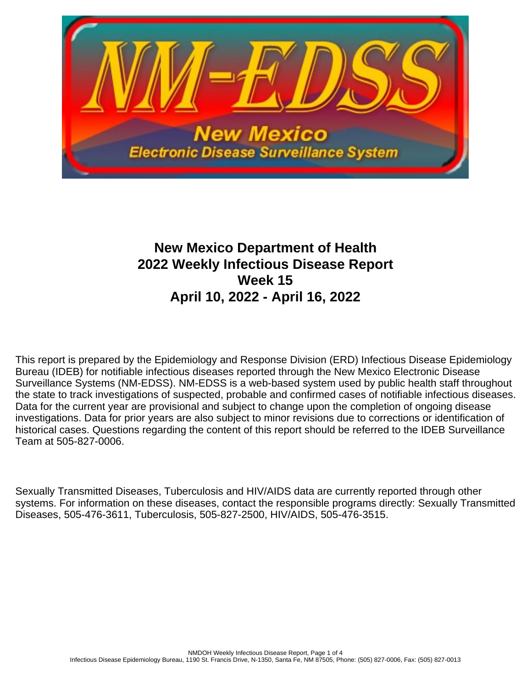

# **New Mexico Department of Health 2022 Weekly Infectious Disease Report Week 15 April 10, 2022 - April 16, 2022**

This report is prepared by the Epidemiology and Response Division (ERD) Infectious Disease Epidemiology Bureau (IDEB) for notifiable infectious diseases reported through the New Mexico Electronic Disease Surveillance Systems (NM-EDSS). NM-EDSS is a web-based system used by public health staff throughout the state to track investigations of suspected, probable and confirmed cases of notifiable infectious diseases. Data for the current year are provisional and subject to change upon the completion of ongoing disease investigations. Data for prior years are also subject to minor revisions due to corrections or identification of historical cases. Questions regarding the content of this report should be referred to the IDEB Surveillance Team at 505-827-0006.

Sexually Transmitted Diseases, Tuberculosis and HIV/AIDS data are currently reported through other systems. For information on these diseases, contact the responsible programs directly: Sexually Transmitted Diseases, 505-476-3611, Tuberculosis, 505-827-2500, HIV/AIDS, 505-476-3515.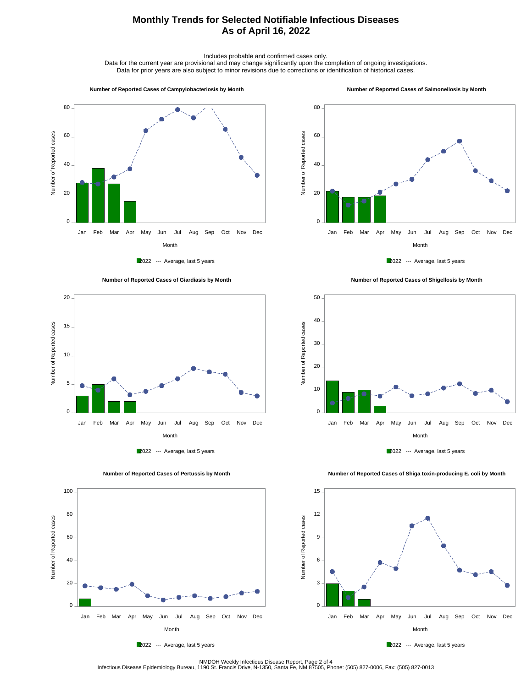## **Monthly Trends for Selected Notifiable Infectious Diseases As of April 16, 2022**

Includes probable and confirmed cases only.

Data for the current year are provisional and may change significantly upon the completion of ongoing investigations. Data for prior years are also subject to minor revisions due to corrections or identification of historical cases.

#### **Number of Reported Cases of Campylobacteriosis by Month**

#### **Number of Reported Cases of Salmonellosis by Month**









 **Number of Reported Cases of Shigellosis by Month**





 **Number of Reported Cases of Shiga toxin-producing E. coli by Month**





2022 --- Average, last 5 years

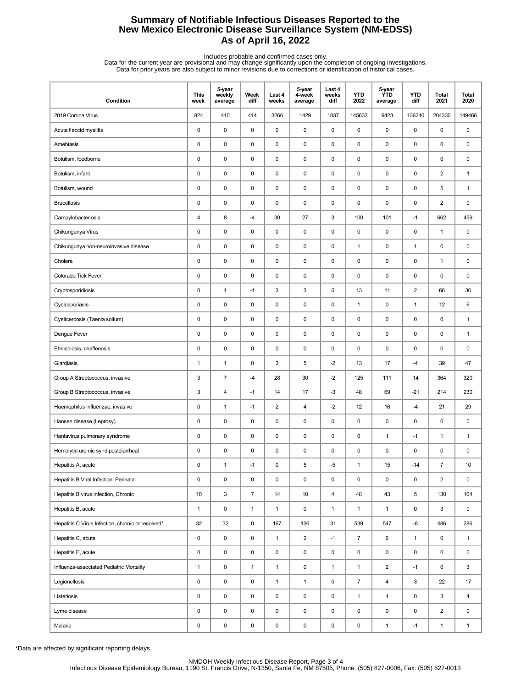## **Summary of Notifiable Infectious Diseases Reported to the New Mexico Electronic Disease Surveillance System (NM-EDSS) As of April 16, 2022**

Includes probable and confirmed cases only.<br>Data for the current year are provisional and may change significantly upon the completion of ongoing investigations.<br>Data for prior years are also subject to minor revisions due

| Condition                                         | <b>This</b><br>week | 5-year<br>weekly<br>average | Week<br>diff   | Last 4<br>weeks | 5-year<br>4-week<br>average | Last 4<br>weeks<br>diff | <b>YTD</b><br>2022 | 5-year<br><b>YTD</b><br>average | <b>YTD</b><br>diff | <b>Total</b><br>2021    | <b>Total</b><br>2020 |
|---------------------------------------------------|---------------------|-----------------------------|----------------|-----------------|-----------------------------|-------------------------|--------------------|---------------------------------|--------------------|-------------------------|----------------------|
| 2019 Corona Virus                                 | 824                 | 410                         | 414            | 3266            | 1429                        | 1837                    | 145633             | 9423                            | 136210             | 204330                  | 149466               |
| Acute flaccid myelitis                            | 0                   | $\mathbf 0$                 | 0              | 0               | $\pmb{0}$                   | $\pmb{0}$               | $\pmb{0}$          | 0                               | $\pmb{0}$          | 0                       | 0                    |
| Amebiasis                                         | 0                   | $\mathbf 0$                 | 0              | 0               | 0                           | 0                       | $\pmb{0}$          | 0                               | $\pmb{0}$          | 0                       | 0                    |
| Botulism, foodborne                               | 0                   | $\pmb{0}$                   | $\pmb{0}$      | $\mathsf 0$     | 0                           | $\pmb{0}$               | $\pmb{0}$          | $\mathsf 0$                     | $\pmb{0}$          | 0                       | 0                    |
| Botulism, infant                                  | 0                   | $\pmb{0}$                   | 0              | 0               | 0                           | 0                       | 0                  | 0                               | $\pmb{0}$          | $\overline{2}$          | 1                    |
| Botulism, wound                                   | 0                   | $\pmb{0}$                   | 0              | 0               | 0                           | 0                       | $\pmb{0}$          | 0                               | $\pmb{0}$          | 5                       | $\mathbf{1}$         |
| <b>Brucellosis</b>                                | 0                   | $\pmb{0}$                   | 0              | 0               | 0                           | 0                       | $\pmb{0}$          | 0                               | $\pmb{0}$          | $\overline{\mathbf{c}}$ | 0                    |
| Campylobacteriosis                                | 4                   | 8                           | -4             | 30              | 27                          | 3                       | 100                | 101                             | $-1$               | 662                     | 459                  |
| Chikungunya Virus                                 | 0                   | $\pmb{0}$                   | 0              | 0               | 0                           | $\pmb{0}$               | $\pmb{0}$          | 0                               | 0                  | $\mathbf{1}$            | 0                    |
| Chikungunya non-neuroinvasive disease             | 0                   | $\pmb{0}$                   | 0              | 0               | 0                           | 0                       | $\mathbf{1}$       | 0                               | $\mathbf{1}$       | 0                       | 0                    |
| Cholera                                           | 0                   | $\pmb{0}$                   | 0              | 0               | 0                           | 0                       | 0                  | 0                               | 0                  | $\mathbf{1}$            | 0                    |
| Colorado Tick Fever                               | 0                   | $\mathbf 0$                 | 0              | 0               | 0                           | 0                       | $\pmb{0}$          | 0                               | $\pmb{0}$          | 0                       | 0                    |
| Cryptosporidiosis                                 | 0                   | $\mathbf{1}$                | $-1$           | 3               | 3                           | $\mathbf 0$             | 13                 | 11                              | $\mathbf 2$        | 66                      | 36                   |
| Cyclosporiasis                                    | 0                   | $\pmb{0}$                   | 0              | $\mathsf 0$     | 0                           | $\pmb{0}$               | $\mathbf{1}$       | 0                               | $\mathbf{1}$       | 12                      | 6                    |
| Cysticercosis (Taenia solium)                     | 0                   | $\pmb{0}$                   | 0              | 0               | 0                           | 0                       | 0                  | 0                               | $\pmb{0}$          | 0                       | 1                    |
| Dengue Fever                                      | 0                   | $\pmb{0}$                   | 0              | 0               | 0                           | 0                       | $\pmb{0}$          | 0                               | 0                  | 0                       | $\mathbf{1}$         |
| Ehrlichiosis, chaffeensis                         | 0                   | $\pmb{0}$                   | 0              | 0               | 0                           | 0                       | 0                  | 0                               | $\pmb{0}$          | 0                       | 0                    |
| Giardiasis                                        | $\mathbf{1}$        | $\mathbf{1}$                | 0              | 3               | 5                           | $-2$                    | 13                 | 17                              | $-4$               | 39                      | 47                   |
| Group A Streptococcus, invasive                   | 3                   | $\overline{7}$              | -4             | 28              | 30                          | $-2$                    | 125                | 111                             | 14                 | 364                     | 320                  |
| Group B Streptococcus, invasive                   | 3                   | 4                           | $-1$           | 14              | 17                          | $-3$                    | 48                 | 69                              | $-21$              | 214                     | 230                  |
| Haemophilus influenzae, invasive                  | 0                   | $\mathbf{1}$                | $-1$           | $\overline{2}$  | $\overline{\mathbf{4}}$     | $-2$                    | 12                 | 16                              | $-4$               | 21                      | 29                   |
| Hansen disease (Leprosy)                          | 0                   | $\pmb{0}$                   | 0              | 0               | 0                           | 0                       | 0                  | 0                               | $\pmb{0}$          | 0                       | 0                    |
| Hantavirus pulmonary syndrome                     | 0                   | $\pmb{0}$                   | 0              | 0               | 0                           | 0                       | $\pmb{0}$          | $\mathbf{1}$                    | $-1$               | $\mathbf{1}$            | $\mathbf{1}$         |
| Hemolytic uremic synd, postdiarrheal              | 0                   | $\mathbf 0$                 | 0              | 0               | 0                           | 0                       | $\pmb{0}$          | 0                               | 0                  | 0                       | 0                    |
| Hepatitis A, acute                                | 0                   | $\mathbf{1}$                | -1             | $\pmb{0}$       | 5                           | $-5$                    | $\mathbf{1}$       | 15                              | $-14$              | $\overline{7}$          | 10                   |
| Hepatitis B Viral Infection, Perinatal            | 0                   | $\pmb{0}$                   | 0              | 0               | $\pmb{0}$                   | 0                       | $\pmb{0}$          | 0                               | 0                  | $\overline{2}$          | 0                    |
| Hepatitis B virus infection, Chronic              | 10                  | 3                           | $\overline{7}$ | 14              | 10                          | $\overline{4}$          | 48                 | 43                              | 5                  | 130                     | 104                  |
| Hepatitis B, acute                                | $\mathbf{1}$        | $\pmb{0}$                   | $\mathbf{1}$   | $\mathbf{1}$    | 0                           | $\mathbf{1}$            | $\mathbf{1}$       | $\mathbf{1}$                    | $\mathbf 0$        | 3                       | 0                    |
| Hepatitis C Virus Infection, chronic or resolved* | 32                  | 32                          | 0              | 167             | 136                         | 31                      | 539                | 547                             | -8                 | 486                     | 286                  |
| Hepatitis C, acute                                | 0                   | $\pmb{0}$                   | 0              | $\mathbf{1}$    | $\overline{2}$              | $-1$                    | $\overline{7}$     | 6                               | $\mathbf{1}$       | 0                       | $\mathbf{1}$         |
| Hepatitis E, acute                                | 0                   | $\pmb{0}$                   | 0              | 0               | 0                           | $\mathsf 0$             | $\pmb{0}$          | 0                               | $\mathsf 0$        | 0                       | 0                    |
| Influenza-associated Pediatric Mortality          | $\mathbf{1}$        | $\pmb{0}$                   | $\mathbf{1}$   | $\mathbf{1}$    | 0                           | $\mathbf{1}$            | $\mathbf{1}$       | $\overline{c}$                  | $-1$               | 0                       | 3                    |
| Legionellosis                                     | 0                   | $\pmb{0}$                   | 0              | $\mathbf{1}$    | $\mathbf{1}$                | 0                       | $\overline{7}$     | $\overline{4}$                  | 3                  | 22                      | 17                   |
| Listeriosis                                       | 0                   | $\pmb{0}$                   | 0              | 0               | $\pmb{0}$                   | $\mathbf 0$             | $\mathbf{1}$       | $\mathbf{1}$                    | 0                  | 3                       | 4                    |
| Lyme disease                                      | 0                   | $\pmb{0}$                   | 0              | $\pmb{0}$       | 0                           | $\mathsf 0$             | $\pmb{0}$          | 0                               | 0                  | $\overline{2}$          | 0                    |
| Malaria                                           | 0                   | $\pmb{0}$                   | 0              | $\pmb{0}$       | 0                           | 0                       | 0                  | $\mathbf{1}$                    | $-1$               | $\mathbf{1}$            | $\mathbf{1}$         |

\*Data are affected by significant reporting delays